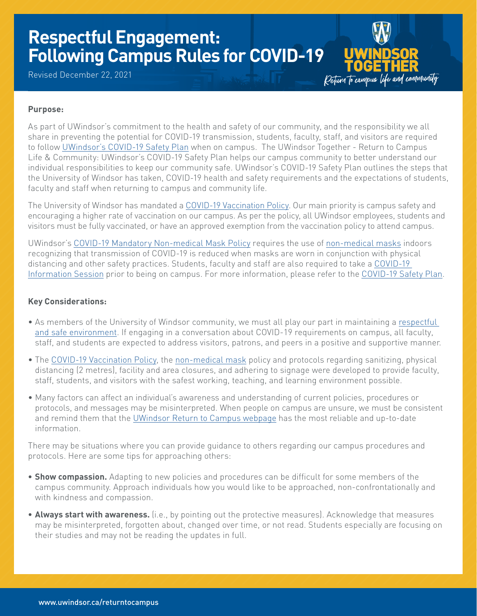# **Respectful Engagement: Following Campus Rules for COVID-19**

Revised December 22, 2021

Deturn to campus life and community

## **Purpose:**

As part of UWindsor's commitment to the health and safety of our community, and the responsibility we all share in preventing the potential for COVID-19 transmission, students, faculty, staff, and visitors are required to follow [UWindsor's COVID-19 Safety Plan](https://www.uwindsor.ca/returntocampus/sites/uwindsor.ca.returntocampus/files/hs_guidelines_for_rtc-_final_1.pdf) when on campus. The UWindsor Together - Return to Campus Life & Community: UWindsor's COVID-19 Safety Plan helps our campus community to better understand our individual responsibilities to keep our community safe. UWindsor's COVID-19 Safety Plan outlines the steps that the University of Windsor has taken, COVID-19 health and safety requirements and the expectations of students, faculty and staff when returning to campus and community life.

The University of Windsor has mandated a [COVID-19 Vaccination Policy.](https://www.uwindsor.ca/returntocampus/467/vaccination-policy) Our main priority is campus safety and encouraging a higher rate of vaccination on our campus. As per the policy, all UWindsor employees, students and visitors must be fully vaccinated, or have an approved exemption from the vaccination policy to attend campus.

UWindsor's [COVID-19 Mandatory Non-medical Mask Policy](https://lawlibrary.uwindsor.ca/Presto/content/Detail.aspx?ctID=OTdhY2QzODgtNjhlYi00ZWY0LTg2OTUtNmU5NjEzY2JkMWYx&rID=MjQw&qrs=RmFsc2U=&q=KFVuaXZlcnNpdHlfb2ZfV2luZHNvcl9DZW50cmFsX1BvbGljaWVzLkFsbFRleHQ6KENPVklEKSk=&ph=VHJ1ZQ==&bckToL=VHJ1ZQ==&rrtc=VHJ1ZQ==) requires the use of [non-medical masks](https://www.uwindsor.ca/returntocampus/341/wear-mask) indoors recognizing that transmission of COVID-19 is reduced when masks are worn in conjunction with physical distancing and other safety practices. Students, faculty and staff are also required to take a [COVID-19](https://www.uwindsor.ca/returntocampus/340/information-sessions)  [Information Session](https://www.uwindsor.ca/returntocampus/340/information-sessions) prior to being on campus. For more information, please refer to the [COVID-19 Safety Plan](https://www.uwindsor.ca/returntocampus/sites/uwindsor.ca.returntocampus/files/hs_guidelines_for_rtc-_final_1.pdf).

### **Key Considerations:**

- As members of the University of Windsor community, we must all play our part in maintaining a [respectful](https://www.uwindsor.ca/ohrea/46/human-rights)  [and safe environment](https://www.uwindsor.ca/ohrea/46/human-rights). If engaging in a conversation about COVID-19 requirements on campus, all faculty, staff, and students are expected to address visitors, patrons, and peers in a positive and supportive manner.
- The [COVID-19 Vaccination Policy,](https://www.uwindsor.ca/returntocampus/467/vaccination-policy) the [non-medical mask](https://www.uwindsor.ca/returntocampus/sites/uwindsor.ca.returntocampus/files/mask_instructions_postcard_2021.pdf) policy and protocols regarding sanitizing, physical distancing (2 metres), facility and area closures, and adhering to signage were developed to provide faculty, staff, students, and visitors with the safest working, teaching, and learning environment possible.
- Many factors can affect an individual's awareness and understanding of current policies, procedures or protocols, and messages may be misinterpreted. When people on campus are unsure, we must be consistent and remind them that the [UWindsor Return to Campus webpage](https://www.uwindsor.ca/returntocampus/) has the most reliable and up-to-date information.

There may be situations where you can provide guidance to others regarding our campus procedures and protocols. Here are some tips for approaching others:

- **• Show compassion.** Adapting to new policies and procedures can be difficult for some members of the campus community. Approach individuals how you would like to be approached, non-confrontationally and with kindness and compassion.
- **• Always start with awareness.** (i.e., by pointing out the protective measures). Acknowledge that measures may be misinterpreted, forgotten about, changed over time, or not read. Students especially are focusing on their studies and may not be reading the updates in full.